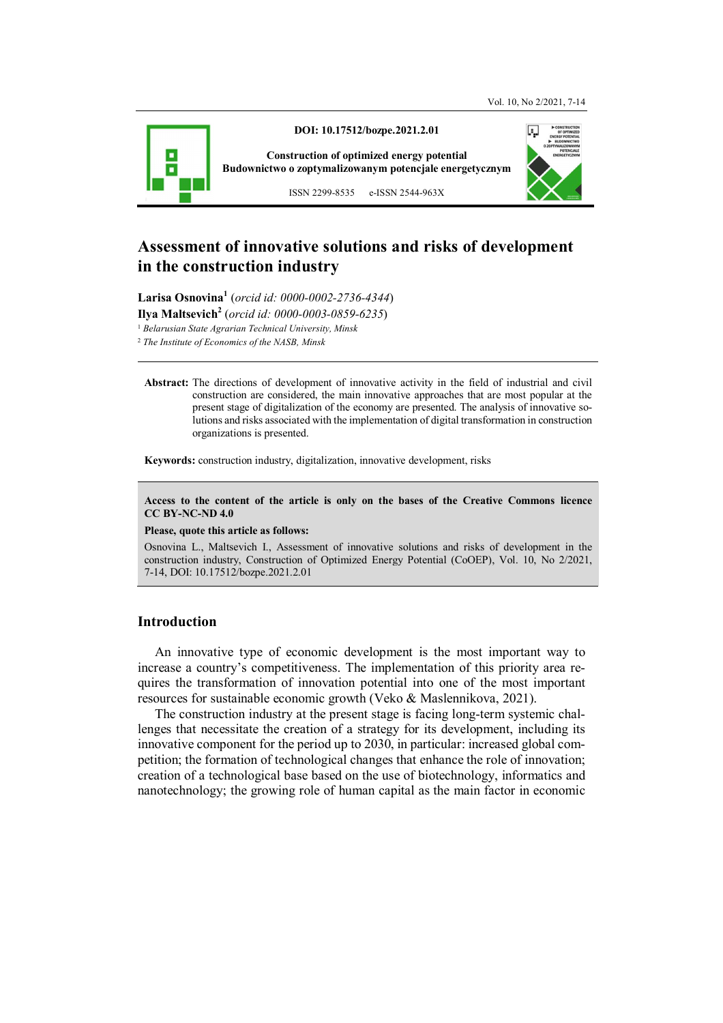

**DOI: 10.17512/bozpe.2021.2.01** 

**Construction of optimized energy potential Budownictwo o zoptymalizowanym potencjale energetycznym**

ISSN 2299-8535 e-ISSN 2544-963X

# **Assessment of innovative solutions and risks of development in the construction industry**

**Larisa Osnovina<sup>1</sup>** (*orcid id: 0000-0002-2736-4344*)

**Ilya Maltsevich<sup>2</sup>** (*orcid id: 0000-0003-0859-6235*)

1  *Belarusian State Agrarian Technical University, Minsk* 

<sup>2</sup> *The Institute of Economics of the NASB, Minsk* 

**Abstract:** The directions of development of innovative activity in the field of industrial and civil construction are considered, the main innovative approaches that are most popular at the present stage of digitalization of the economy are presented. The analysis of innovative solutions and risks associated with the implementation of digital transformation in construction organizations is presented.

**Keywords:** construction industry, digitalization, innovative development, risks

#### **Access to the content of the article is only on the bases of the Creative Commons licence CC BY-NC-ND 4.0**

#### **Please, quote this article as follows:**

Osnovina L., Maltsevich I., Assessment of innovative solutions and risks of development in the construction industry, Construction of Optimized Energy Potential (CoOEP), Vol. 10, No 2/2021, 7-14, DOI: 10.17512/bozpe.2021.2.01

# **Introduction**

An innovative type of economic development is the most important way to increase a country's competitiveness. The implementation of this priority area requires the transformation of innovation potential into one of the most important resources for sustainable economic growth (Veko & Maslennikova, 2021).

The construction industry at the present stage is facing long-term systemic challenges that necessitate the creation of a strategy for its development, including its innovative component for the period up to 2030, in particular: increased global competition; the formation of technological changes that enhance the role of innovation; creation of a technological base based on the use of biotechnology, informatics and nanotechnology; the growing role of human capital as the main factor in economic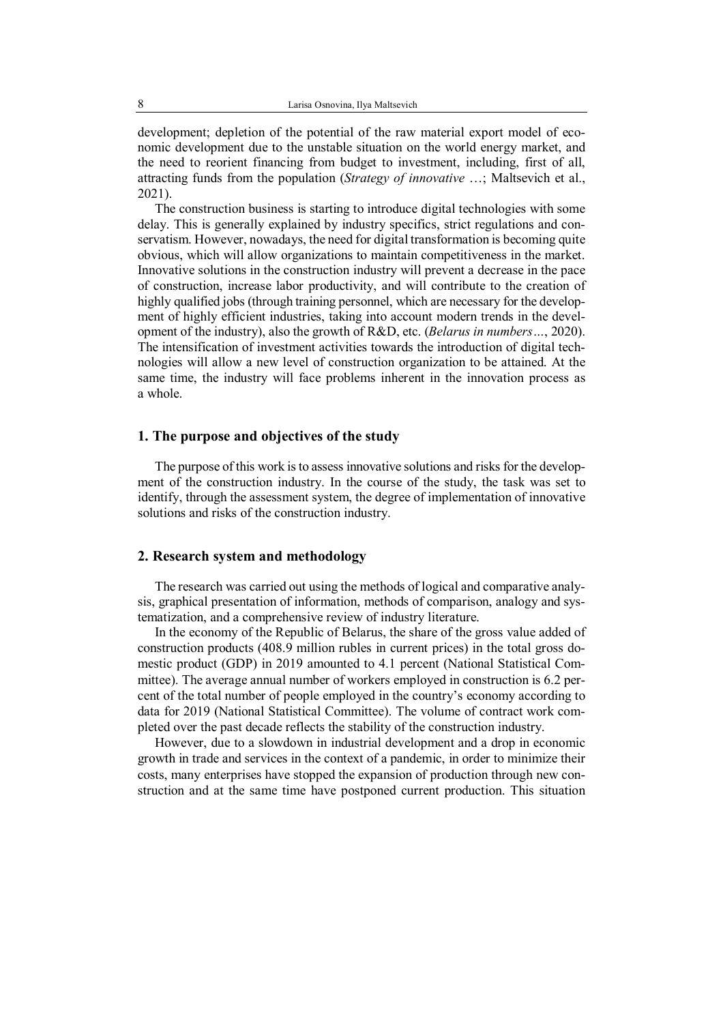development; depletion of the potential of the raw material export model of economic development due to the unstable situation on the world energy market, and the need to reorient financing from budget to investment, including, first of all, attracting funds from the population (*Strategy of innovative* …; Maltsevich et al., 2021).

The construction business is starting to introduce digital technologies with some delay. This is generally explained by industry specifics, strict regulations and conservatism. However, nowadays, the need for digital transformation is becoming quite obvious, which will allow organizations to maintain competitiveness in the market. Innovative solutions in the construction industry will prevent a decrease in the pace of construction, increase labor productivity, and will contribute to the creation of highly qualified jobs (through training personnel, which are necessary for the development of highly efficient industries, taking into account modern trends in the development of the industry), also the growth of R&D, etc. (*Belarus in numbers…*, 2020). The intensification of investment activities towards the introduction of digital technologies will allow a new level of construction organization to be attained. At the same time, the industry will face problems inherent in the innovation process as a whole.

#### **1. The purpose and objectives of the study**

The purpose of this work is to assess innovative solutions and risks for the development of the construction industry. In the course of the study, the task was set to identify, through the assessment system, the degree of implementation of innovative solutions and risks of the construction industry.

## **2. Research system and methodology**

The research was carried out using the methods of logical and comparative analysis, graphical presentation of information, methods of comparison, analogy and systematization, and a comprehensive review of industry literature.

In the economy of the Republic of Belarus, the share of the gross value added of construction products (408.9 million rubles in current prices) in the total gross domestic product (GDP) in 2019 amounted to 4.1 percent (National Statistical Committee). The average annual number of workers employed in construction is 6.2 percent of the total number of people employed in the country's economy according to data for 2019 (National Statistical Committee). The volume of contract work completed over the past decade reflects the stability of the construction industry.

However, due to a slowdown in industrial development and a drop in economic growth in trade and services in the context of a pandemic, in order to minimize their costs, many enterprises have stopped the expansion of production through new construction and at the same time have postponed current production. This situation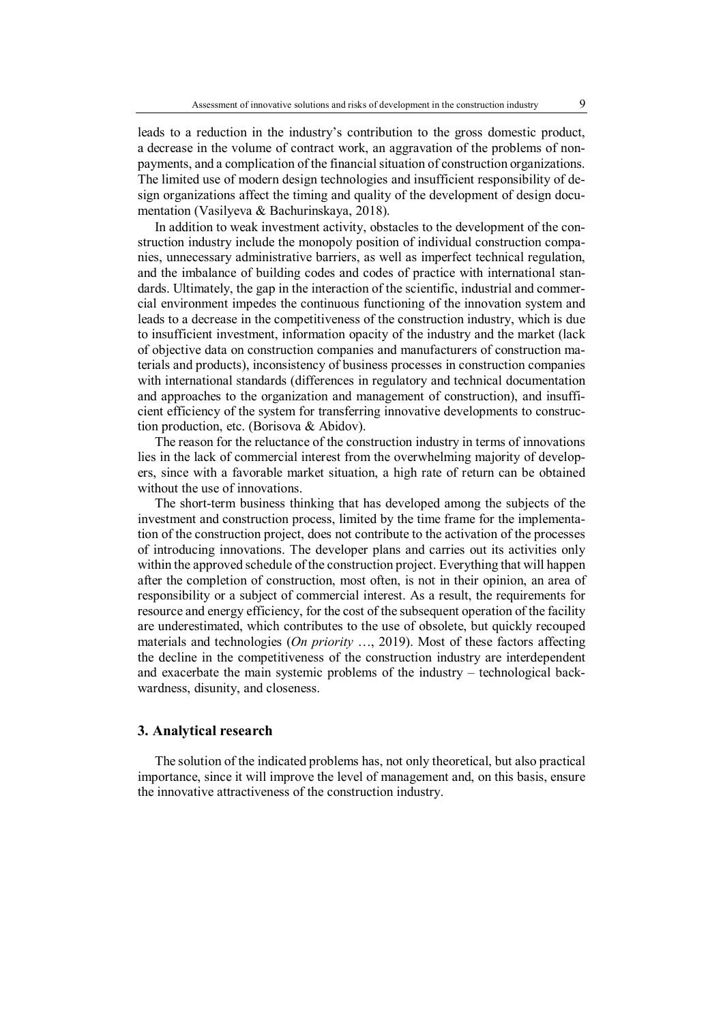leads to a reduction in the industry's contribution to the gross domestic product, a decrease in the volume of contract work, an aggravation of the problems of nonpayments, and a complication of the financial situation of construction organizations. The limited use of modern design technologies and insufficient responsibility of design organizations affect the timing and quality of the development of design documentation (Vasilyeva & Bachurinskaya, 2018).

In addition to weak investment activity, obstacles to the development of the construction industry include the monopoly position of individual construction companies, unnecessary administrative barriers, as well as imperfect technical regulation, and the imbalance of building codes and codes of practice with international standards. Ultimately, the gap in the interaction of the scientific, industrial and commercial environment impedes the continuous functioning of the innovation system and leads to a decrease in the competitiveness of the construction industry, which is due to insufficient investment, information opacity of the industry and the market (lack of objective data on construction companies and manufacturers of construction materials and products), inconsistency of business processes in construction companies with international standards (differences in regulatory and technical documentation and approaches to the organization and management of construction), and insufficient efficiency of the system for transferring innovative developments to construction production, etc. (Borisova & Abidov).

The reason for the reluctance of the construction industry in terms of innovations lies in the lack of commercial interest from the overwhelming majority of developers, since with a favorable market situation, a high rate of return can be obtained without the use of innovations.

The short-term business thinking that has developed among the subjects of the investment and construction process, limited by the time frame for the implementation of the construction project, does not contribute to the activation of the processes of introducing innovations. The developer plans and carries out its activities only within the approved schedule of the construction project. Everything that will happen after the completion of construction, most often, is not in their opinion, an area of responsibility or a subject of commercial interest. As a result, the requirements for resource and energy efficiency, for the cost of the subsequent operation of the facility are underestimated, which contributes to the use of obsolete, but quickly recouped materials and technologies (*On priority* …, 2019). Most of these factors affecting the decline in the competitiveness of the construction industry are interdependent and exacerbate the main systemic problems of the industry – technological backwardness, disunity, and closeness.

#### **3. Analytical research**

The solution of the indicated problems has, not only theoretical, but also practical importance, since it will improve the level of management and, on this basis, ensure the innovative attractiveness of the construction industry.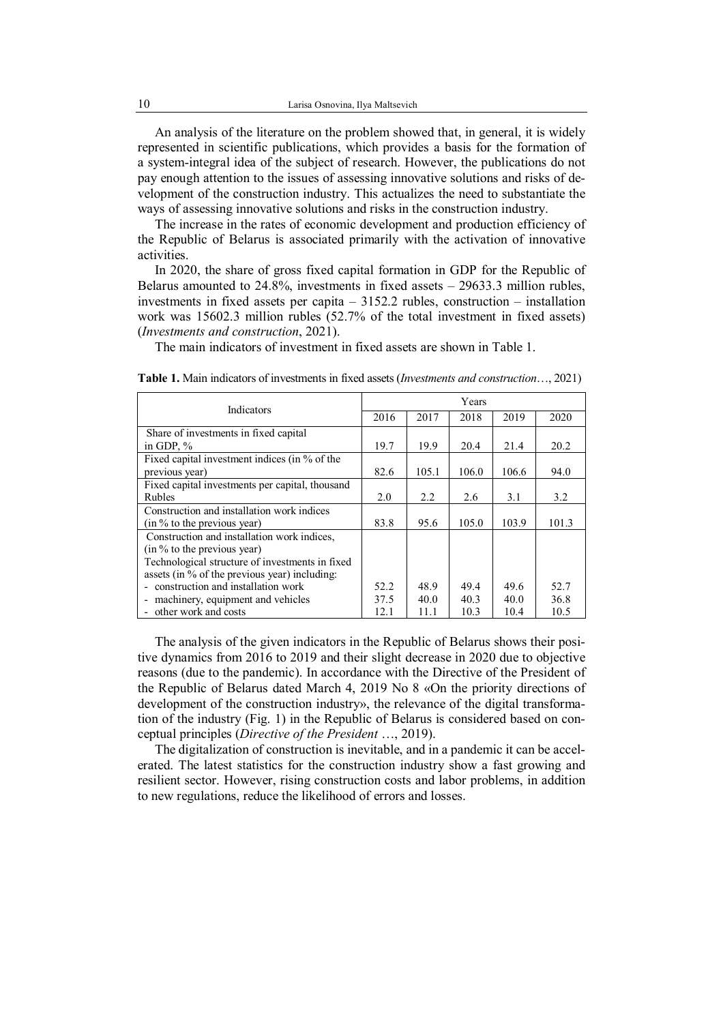An analysis of the literature on the problem showed that, in general, it is widely represented in scientific publications, which provides a basis for the formation of a system-integral idea of the subject of research. However, the publications do not pay enough attention to the issues of assessing innovative solutions and risks of development of the construction industry. This actualizes the need to substantiate the ways of assessing innovative solutions and risks in the construction industry.

The increase in the rates of economic development and production efficiency of the Republic of Belarus is associated primarily with the activation of innovative activities.

In 2020, the share of gross fixed capital formation in GDP for the Republic of Belarus amounted to  $24.8\%$ , investments in fixed assets  $-29633.3$  million rubles, investments in fixed assets per capita – 3152.2 rubles, construction – installation work was 15602.3 million rubles (52.7% of the total investment in fixed assets) (*Investments and construction*, 2021).

The main indicators of investment in fixed assets are shown in Table 1.

| Indicators                                      | Years |       |       |       |       |
|-------------------------------------------------|-------|-------|-------|-------|-------|
|                                                 | 2016  | 2017  | 2018  | 2019  | 2020  |
| Share of investments in fixed capital           |       |       |       |       |       |
| in GDP, $%$                                     | 19.7  | 19.9  | 20.4  | 21.4  | 20.2  |
| Fixed capital investment indices (in % of the   |       |       |       |       |       |
| previous year)                                  | 82.6  | 105.1 | 106.0 | 106.6 | 94.0  |
| Fixed capital investments per capital, thousand |       |       |       |       |       |
| <b>Rubles</b>                                   | 2.0   | 2.2   | 2.6   | 3.1   | 3.2   |
| Construction and installation work indices      |       |       |       |       |       |
| (in % to the previous year)                     | 83.8  | 95.6  | 105.0 | 103.9 | 101.3 |
| Construction and installation work indices,     |       |       |       |       |       |
| (in % to the previous year)                     |       |       |       |       |       |
| Technological structure of investments in fixed |       |       |       |       |       |
| assets (in % of the previous year) including:   |       |       |       |       |       |
| - construction and installation work            | 52.2  | 48.9  | 49.4  | 49.6  | 52.7  |
| - machinery, equipment and vehicles             | 37.5  | 40.0  | 40.3  | 40.0  | 36.8  |
| - other work and costs                          | 12.1  | 11.1  | 10.3  | 10.4  | 10.5  |

**Table 1.** Main indicators of investments in fixed assets (*Investments and construction*…, 2021)

The analysis of the given indicators in the Republic of Belarus shows their positive dynamics from 2016 to 2019 and their slight decrease in 2020 due to objective reasons (due to the pandemic). In accordance with the Directive of the President of the Republic of Belarus dated March 4, 2019 No 8 «On the priority directions of development of the construction industry», the relevance of the digital transformation of the industry (Fig. 1) in the Republic of Belarus is considered based on conceptual principles (*Directive of the President* …, 2019).

The digitalization of construction is inevitable, and in a pandemic it can be accelerated. The latest statistics for the construction industry show a fast growing and resilient sector. However, rising construction costs and labor problems, in addition to new regulations, reduce the likelihood of errors and losses.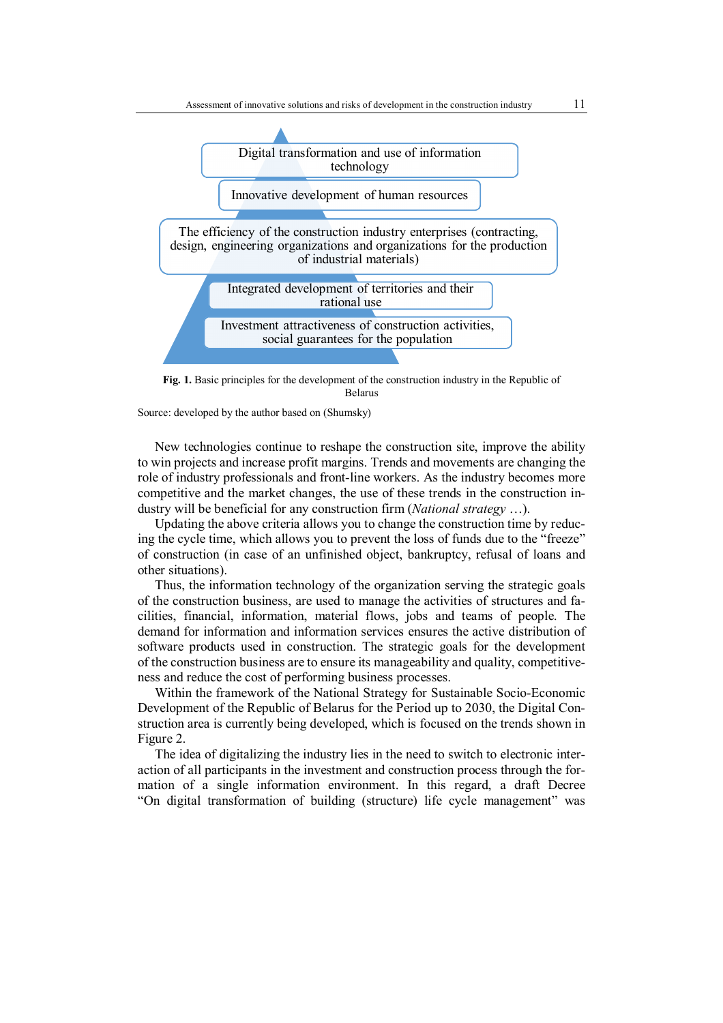

**Fig. 1.** Basic principles for the development of the construction industry in the Republic of Belarus

Source: developed by the author based on (Shumsky)

New technologies continue to reshape the construction site, improve the ability to win projects and increase profit margins. Trends and movements are changing the role of industry professionals and front-line workers. As the industry becomes more competitive and the market changes, the use of these trends in the construction industry will be beneficial for any construction firm (*National strategy* …).

Updating the above criteria allows you to change the construction time by reducing the cycle time, which allows you to prevent the loss of funds due to the "freeze" of construction (in case of an unfinished object, bankruptcy, refusal of loans and other situations).

Thus, the information technology of the organization serving the strategic goals of the construction business, are used to manage the activities of structures and facilities, financial, information, material flows, jobs and teams of people. The demand for information and information services ensures the active distribution of software products used in construction. The strategic goals for the development of the construction business are to ensure its manageability and quality, competitiveness and reduce the cost of performing business processes.

Within the framework of the National Strategy for Sustainable Socio-Economic Development of the Republic of Belarus for the Period up to 2030, the Digital Construction area is currently being developed, which is focused on the trends shown in Figure 2.

The idea of digitalizing the industry lies in the need to switch to electronic interaction of all participants in the investment and construction process through the formation of a single information environment. In this regard, a draft Decree "On digital transformation of building (structure) life cycle management" was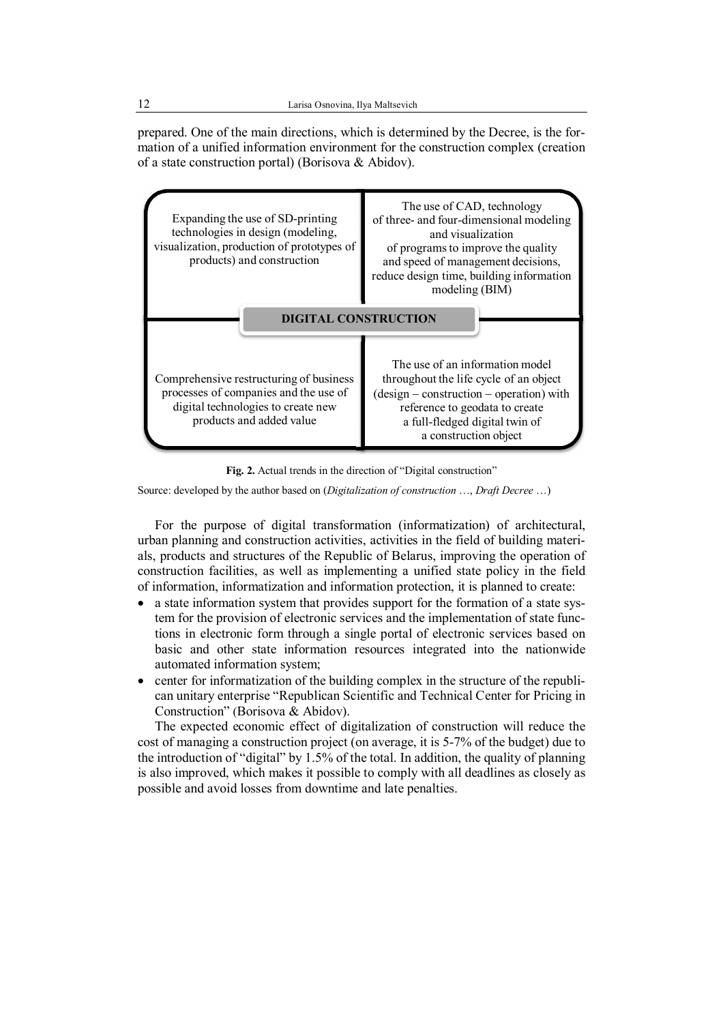prepared. One of the main directions, which is determined by the Decree, is the formation of a unified information environment for the construction complex (creation of a state construction portal) (Borisova & Abidov).



**Fig. 2.** Actual trends in the direction of "Digital construction"

Source: developed by the author based on (*Digitalization of construction* …, *Draft Decree* …)

For the purpose of digital transformation (informatization) of architectural, urban planning and construction activities, activities in the field of building materials, products and structures of the Republic of Belarus, improving the operation of construction facilities, as well as implementing a unified state policy in the field of information, informatization and information protection, it is planned to create:

- a state information system that provides support for the formation of a state system for the provision of electronic services and the implementation of state functions in electronic form through a single portal of electronic services based on basic and other state information resources integrated into the nationwide automated information system;
- center for informatization of the building complex in the structure of the republican unitary enterprise "Republican Scientific and Technical Center for Pricing in Construction" (Borisova & Abidov).

The expected economic effect of digitalization of construction will reduce the cost of managing a construction project (on average, it is 5-7% of the budget) due to the introduction of "digital" by 1.5% of the total. In addition, the quality of planning is also improved, which makes it possible to comply with all deadlines as closely as possible and avoid losses from downtime and late penalties.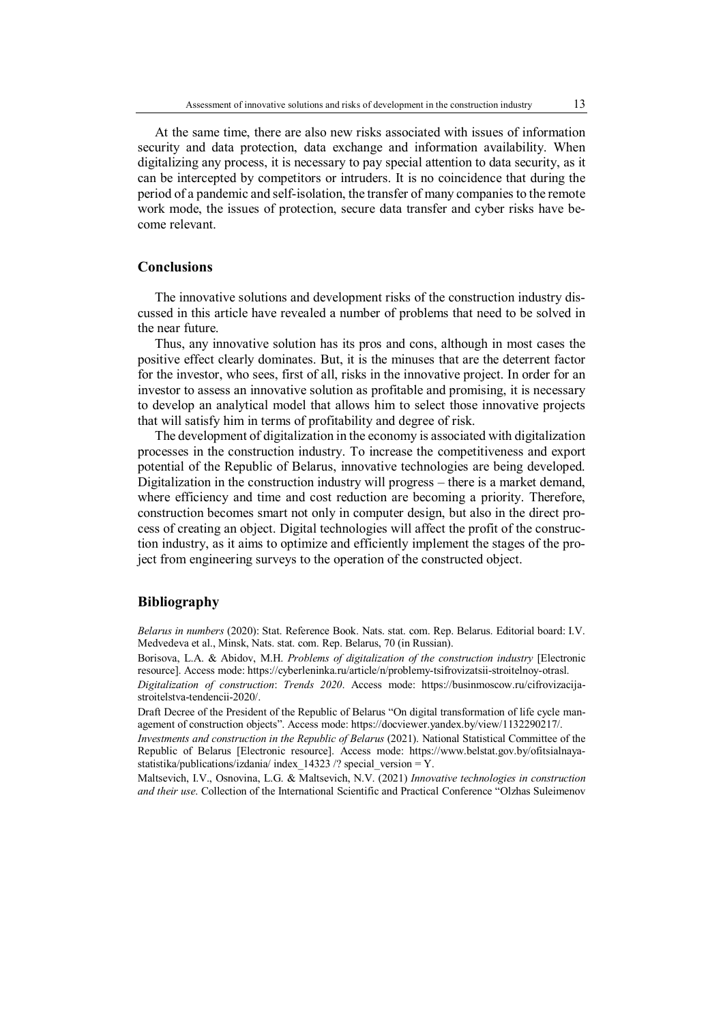At the same time, there are also new risks associated with issues of information security and data protection, data exchange and information availability. When digitalizing any process, it is necessary to pay special attention to data security, as it can be intercepted by competitors or intruders. It is no coincidence that during the period of a pandemic and self-isolation, the transfer of many companies to the remote work mode, the issues of protection, secure data transfer and cyber risks have become relevant.

#### **Conclusions**

The innovative solutions and development risks of the construction industry discussed in this article have revealed a number of problems that need to be solved in the near future.

Thus, any innovative solution has its pros and cons, although in most cases the positive effect clearly dominates. But, it is the minuses that are the deterrent factor for the investor, who sees, first of all, risks in the innovative project. In order for an investor to assess an innovative solution as profitable and promising, it is necessary to develop an analytical model that allows him to select those innovative projects that will satisfy him in terms of profitability and degree of risk.

The development of digitalization in the economy is associated with digitalization processes in the construction industry. To increase the competitiveness and export potential of the Republic of Belarus, innovative technologies are being developed. Digitalization in the construction industry will progress – there is a market demand, where efficiency and time and cost reduction are becoming a priority. Therefore, construction becomes smart not only in computer design, but also in the direct process of creating an object. Digital technologies will affect the profit of the construction industry, as it aims to optimize and efficiently implement the stages of the project from engineering surveys to the operation of the constructed object.

## **Bibliography**

*Belarus in numbers* (2020): Stat. Reference Book. Nats. stat. com. Rep. Belarus. Editorial board: I.V. Medvedeva et al., Minsk, Nats. stat. com. Rep. Belarus, 70 (in Russian).

Borisova, L.A. & Abidov, M.H. *Problems of digitalization of the construction industry* [Electronic resource]. Access mode: https://cyberleninka.ru/article/n/problemy-tsifrovizatsii-stroitelnoy-otrasl.

*Digitalization of construction*: *Trends 2020*. Access mode: https://businmoscow.ru/cifrovizacijastroitelstva-tendencii-2020/.

Draft Decree of the President of the Republic of Belarus "On digital transformation of life cycle management of construction objects". Access mode: https://docviewer.yandex.by/view/1132290217/.

*Investments and construction in the Republic of Belarus* (2021). National Statistical Committee of the Republic of Belarus [Electronic resource]. Access mode: https://www.belstat.gov.by/ofitsialnayastatistika/publications/izdania/ index 14323 /? special version = Y.

Maltsevich, I.V., Osnovina, L.G. & Maltsevich, N.V. (2021) *Innovative technologies in construction and their use*. Collection of the International Scientific and Practical Conference "Olzhas Suleimenov